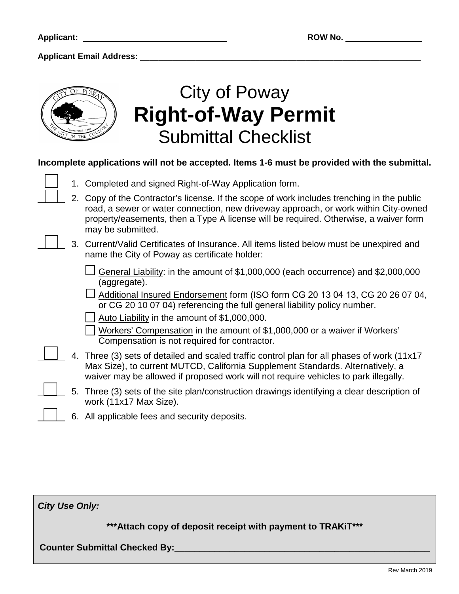

# City of Poway **Right-of-Way Permit** Submittal Checklist

### **Incomplete applications will not be accepted. Items 1-6 must be provided with the submittal.**

|  | 1. Completed and signed Right-of-Way Application form.                                                                                                                                                                                                                                         |
|--|------------------------------------------------------------------------------------------------------------------------------------------------------------------------------------------------------------------------------------------------------------------------------------------------|
|  | 2. Copy of the Contractor's license. If the scope of work includes trenching in the public<br>road, a sewer or water connection, new driveway approach, or work within City-owned<br>property/easements, then a Type A license will be required. Otherwise, a waiver form<br>may be submitted. |
|  | 3. Current/Valid Certificates of Insurance. All items listed below must be unexpired and<br>name the City of Poway as certificate holder:                                                                                                                                                      |
|  | General Liability: in the amount of \$1,000,000 (each occurrence) and \$2,000,000<br>(aggregate).                                                                                                                                                                                              |
|  | Additional Insured Endorsement form (ISO form CG 20 13 04 13, CG 20 26 07 04,<br>or CG 20 10 07 04) referencing the full general liability policy number.                                                                                                                                      |
|  | Auto Liability in the amount of \$1,000,000.                                                                                                                                                                                                                                                   |
|  | Workers' Compensation in the amount of \$1,000,000 or a waiver if Workers'<br>Compensation is not required for contractor.                                                                                                                                                                     |
|  | 4. Three (3) sets of detailed and scaled traffic control plan for all phases of work (11x17<br>Max Size), to current MUTCD, California Supplement Standards. Alternatively, a<br>waiver may be allowed if proposed work will not require vehicles to park illegally.                           |

- 5. Three (3) sets of the site plan/construction drawings identifying a clear description of work (11x17 Max Size).
- 6. All applicable fees and security deposits.

*City Use Only:* **\*\*\*Attach copy of deposit receipt with payment to TRAKiT\*\*\* Counter Submittal Checked By:\_\_\_\_\_\_\_\_\_\_\_\_\_\_\_\_\_\_\_\_\_\_\_\_\_\_\_\_\_\_\_\_\_\_\_\_\_\_\_\_\_\_\_\_\_\_\_\_\_\_\_**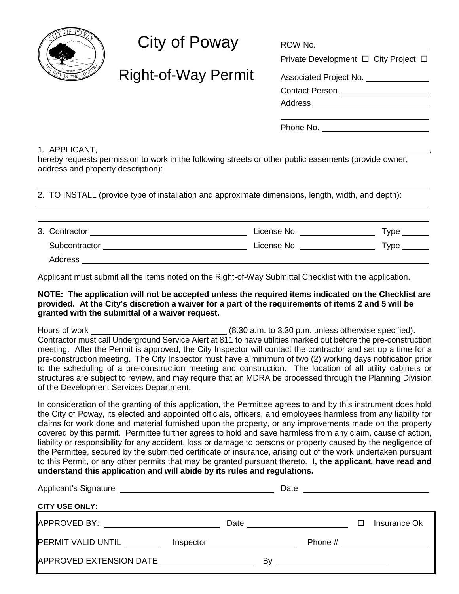

## $City of Poway$

Right-of-Way Permit

| NUW IVU.                             |  |
|--------------------------------------|--|
| Private Development □ City Project □ |  |
| Associated Project No.               |  |
| Contact Person _                     |  |
| Address _                            |  |
|                                      |  |

Phone No.

1. APPLICANT, ,

hereby requests permission to work in the following streets or other public easements (provide owner, address and property description):

2. TO INSTALL (provide type of installation and approximate dimensions, length, width, and depth):

| 3. Contractor | License No. | $\tau$ ype |
|---------------|-------------|------------|
| Subcontractor | License No. | $\tau$ ype |
| Address       |             |            |

Applicant must submit all the items noted on the Right-of-Way Submittal Checklist with the application.

#### **NOTE: The application will not be accepted unless the required items indicated on the Checklist are provided. At the City's discretion a waiver for a part of the requirements of items 2 and 5 will be granted with the submittal of a waiver request.**

Hours of work **EXECUTE:** (8:30 a.m. to 3:30 p.m. unless otherwise specified). Contractor must call Underground Service Alert at 811 to have utilities marked out before the pre-construction meeting. After the Permit is approved, the City Inspector will contact the contractor and set up a time for a pre-construction meeting. The City Inspector must have a minimum of two (2) working days notification prior to the scheduling of a pre-construction meeting and construction. The location of all utility cabinets or structures are subject to review, and may require that an MDRA be processed through the Planning Division of the Development Services Department.

In consideration of the granting of this application, the Permittee agrees to and by this instrument does hold the City of Poway, its elected and appointed officials, officers, and employees harmless from any liability for claims for work done and material furnished upon the property, or any improvements made on the property covered by this permit. Permittee further agrees to hold and save harmless from any claim, cause of action, liability or responsibility for any accident, loss or damage to persons or property caused by the negligence of the Permittee, secured by the submitted certificate of insurance, arising out of the work undertaken pursuant to this Permit, or any other permits that may be granted pursuant thereto. **I, the applicant, have read and understand this application and will abide by its rules and regulations.**

| Applicant's Signature<br><u> 1989 - Jan James James Barnett, fransk politik (d. 1989)</u> | Date | <u> 1980 - Jan Stein, amerikansk politiker (d. 1980)</u> |    |  |   |                                 |  |  |  |  |
|-------------------------------------------------------------------------------------------|------|----------------------------------------------------------|----|--|---|---------------------------------|--|--|--|--|
| <b>CITY USE ONLY:</b>                                                                     |      |                                                          |    |  |   |                                 |  |  |  |  |
|                                                                                           |      |                                                          |    |  | □ | Insurance Ok                    |  |  |  |  |
| PERMIT VALID UNTIL _______                                                                |      |                                                          |    |  |   | Phone # _______________________ |  |  |  |  |
| APPROVED EXTENSION DATE                                                                   |      |                                                          | B٧ |  |   |                                 |  |  |  |  |